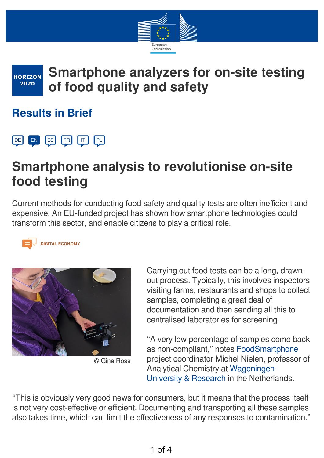

#### **Smartphone analyzers for on-site testing HORIZON** 2020 **of food quality and safety**

### **Results in Brief**



# **Smartphone analysis to revolutionise on-site food testing**

Current methods for conducting food safety and quality tests are often inefficient and expensive. An EU-funded project has shown how smartphone technologies could transform this sector, and enable citizens to play a critical role.



#### **DIGITAL ECONOMY**



© Gina Ross

Carrying out food tests can be a long, drawnout process. Typically, this involves inspectors visiting farms, restaurants and shops to collect samples, completing a great deal of documentation and then sending all this to centralised laboratories for screening.

"A very low percentage of samples come back as non-compliant," notes [FoodSmartphone](http://www.foodsmartphone.eu/) project coordinator Michel Nielen, professor of Analytical Chemistry at Wageningen [University & Research in the Netherl](https://www.wur.nl/en.htm)ands.

"This is obviously very good news for consumers, but it means that the process itself is not very cost-effective or efficient. Documenting and transporting all these samples also takes time, which can limit the effectiveness of any responses to contamination."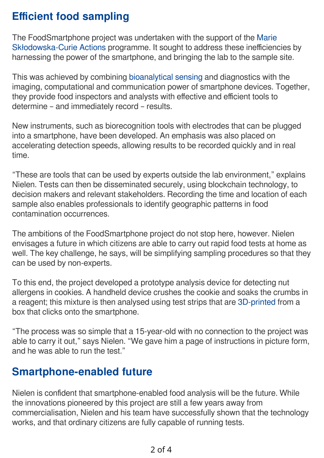## **Efficient food sampling**

The FoodSmartphone project was undertaken with the support of the Marie [Skłodowska-Curie Actions programme. It sought to address these inefficienc](https://ec.europa.eu/research/mariecurieactions/node_en)ies by harnessing the power of the smartphone, and bringing the lab to the sample site.

This was achieved by combining [bioanalytical sensing](https://www.nibib.nih.gov/research-funding/sensors) and diagnostics with the imaging, computational and communication power of smartphone devices. Together, they provide food inspectors and analysts with effective and efficient tools to determine – and immediately record – results.

New instruments, such as biorecognition tools with electrodes that can be plugged into a smartphone, have been developed. An emphasis was also placed on accelerating detection speeds, allowing results to be recorded quickly and in real time.

"These are tools that can be used by experts outside the lab environment," explains Nielen. Tests can then be disseminated securely, using blockchain technology, to decision makers and relevant stakeholders. Recording the time and location of each sample also enables professionals to identify geographic patterns in food contamination occurrences.

The ambitions of the FoodSmartphone project do not stop here, however. Nielen envisages a future in which citizens are able to carry out rapid food tests at home as well. The key challenge, he says, will be simplifying sampling procedures so that they can be used by non-experts.

To this end, the project developed a prototype analysis device for detecting nut allergens in cookies. A handheld device crushes the cookie and soaks the crumbs in a reagent; this mixture is then analysed using test strips that are [3D-printed](https://www.hubs.com/guides/3d-printing/) from a box that clicks onto the smartphone.

"The process was so simple that a 15-year-old with no connection to the project was able to carry it out," says Nielen. "We gave him a page of instructions in picture form, and he was able to run the test."

### **Smartphone-enabled future**

Nielen is confident that smartphone-enabled food analysis will be the future. While the innovations pioneered by this project are still a few years away from commercialisation, Nielen and his team have successfully shown that the technology works, and that ordinary citizens are fully capable of running tests.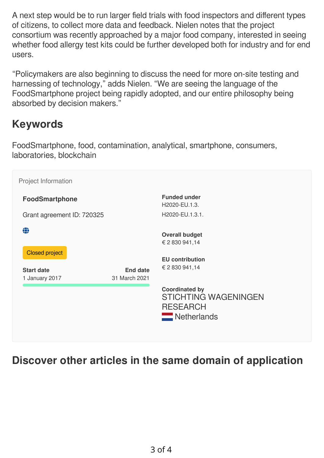A next step would be to run larger field trials with food inspectors and different types of citizens, to collect more data and feedback. Nielen notes that the project consortium was recently approached by a major food company, interested in seeing whether food allergy test kits could be further developed both for industry and for end users.

"Policymakers are also beginning to discuss the need for more on-site testing and harnessing of technology," adds Nielen. "We are seeing the language of the FoodSmartphone project being rapidly adopted, and our entire philosophy being absorbed by decision makers."

### **Keywords**

FoodSmartphone, food, contamination, analytical, smartphone, consumers, laboratories, blockchain

| Project Information                                               |                                  |                                                                                                                                                                               |
|-------------------------------------------------------------------|----------------------------------|-------------------------------------------------------------------------------------------------------------------------------------------------------------------------------|
| <b>FoodSmartphone</b>                                             |                                  | <b>Funded under</b><br>H2020-EU.1.3.                                                                                                                                          |
| Grant agreement ID: 720325                                        |                                  | H2020-EU.1.3.1.                                                                                                                                                               |
| ⊕<br><b>Closed project</b><br><b>Start date</b><br>1 January 2017 | <b>End date</b><br>31 March 2021 | <b>Overall budget</b><br>€ 2 830 941,14<br><b>EU</b> contribution<br>€ 2 830 941,14<br><b>Coordinated by</b><br><b>STICHTING WAGENINGEN</b><br><b>RESEARCH</b><br>Netherlands |

#### **Discover other articles in the same domain of application**